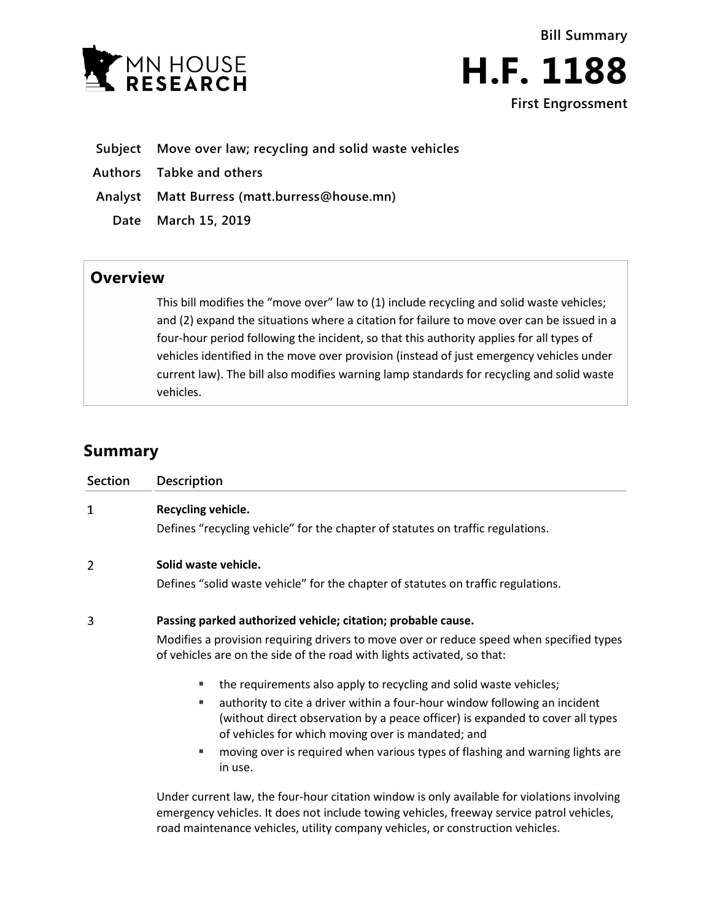



- **Subject Move over law; recycling and solid waste vehicles**
- **Authors Tabke and others**
- **Analyst Matt Burress (matt.burress@house.mn)**
	- **Date March 15, 2019**

## **Overview**

This bill modifies the "move over" law to (1) include recycling and solid waste vehicles; and (2) expand the situations where a citation for failure to move over can be issued in a four-hour period following the incident, so that this authority applies for all types of vehicles identified in the move over provision (instead of just emergency vehicles under current law). The bill also modifies warning lamp standards for recycling and solid waste vehicles.

# **Summary**

| <b>Section</b> | Description                                                                                                                                                                                                                                                                                                                                                                                                                                                                                                                                                                                                                                                                                                                                                                                                                                                                                                              |
|----------------|--------------------------------------------------------------------------------------------------------------------------------------------------------------------------------------------------------------------------------------------------------------------------------------------------------------------------------------------------------------------------------------------------------------------------------------------------------------------------------------------------------------------------------------------------------------------------------------------------------------------------------------------------------------------------------------------------------------------------------------------------------------------------------------------------------------------------------------------------------------------------------------------------------------------------|
| 1              | Recycling vehicle.<br>Defines "recycling vehicle" for the chapter of statutes on traffic regulations.                                                                                                                                                                                                                                                                                                                                                                                                                                                                                                                                                                                                                                                                                                                                                                                                                    |
| 2              | Solid waste vehicle.<br>Defines "solid waste vehicle" for the chapter of statutes on traffic regulations.                                                                                                                                                                                                                                                                                                                                                                                                                                                                                                                                                                                                                                                                                                                                                                                                                |
| 3              | Passing parked authorized vehicle; citation; probable cause.<br>Modifies a provision requiring drivers to move over or reduce speed when specified types<br>of vehicles are on the side of the road with lights activated, so that:<br>the requirements also apply to recycling and solid waste vehicles;<br>٠<br>authority to cite a driver within a four-hour window following an incident<br>٠<br>(without direct observation by a peace officer) is expanded to cover all types<br>of vehicles for which moving over is mandated; and<br>moving over is required when various types of flashing and warning lights are<br>٠<br>in use.<br>Under current law, the four-hour citation window is only available for violations involving<br>emergency vehicles. It does not include towing vehicles, freeway service patrol vehicles,<br>road maintenance vehicles, utility company vehicles, or construction vehicles. |